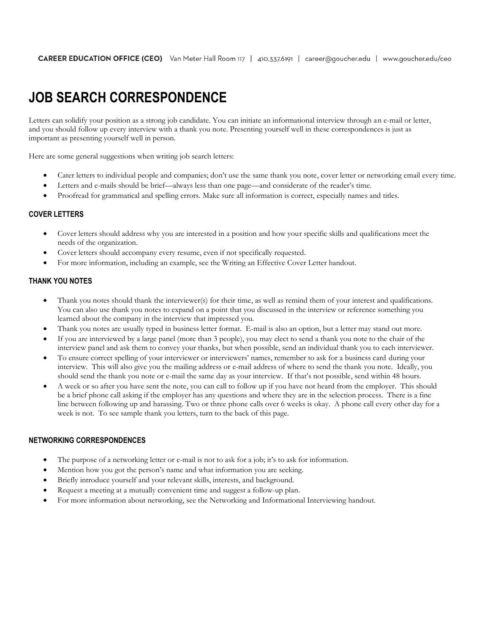# **JOB SEARCH CORRESPONDENCE**

Letters can solidify your position as a strong job candidate. You can initiate an informational interview through an e-mail or letter, and you should follow up every interview with a thank you note. Presenting yourself well in these correspondences is just as important as presenting yourself well in person.

Here are some general suggestions when writing job search letters:

- Cater letters to individual people and companies; don't use the same thank you note, cover letter or networking email every time.
- Letters and e-mails should be brief—always less than one page—and considerate of the reader's time.
- Proofread for grammatical and spelling errors. Make sure all information is correct, especially names and titles.

### **COVER LETTERS**

- Cover letters should address why you are interested in a position and how your specific skills and qualifications meet the needs of the organization.
- Cover letters should accompany every resume, even if not specifically requested.
- For more information, including an example, see the Writing an Effective Cover Letter handout.

#### **THANK YOU NOTES**

- Thank you notes should thank the interviewer(s) for their time, as well as remind them of your interest and qualifications. You can also use thank you notes to expand on a point that you discussed in the interview or reference something you learned about the company in the interview that impressed you.
- Thank you notes are usually typed in business letter format. E-mail is also an option, but a letter may stand out more.
- If you are interviewed by a large panel (more than 3 people), you may elect to send a thank you note to the chair of the interview panel and ask them to convey your thanks, but when possible, send an individual thank you to each interviewer.
- To ensure correct spelling of your interviewer or interviewers' names, remember to ask for a business card during your interview. This will also give you the mailing address or e-mail address of where to send the thank you note. Ideally, you should send the thank you note or e-mail the same day as your interview. If that's not possible, send within 48 hours.
- A week or so after you have sent the note, you can call to follow up if you have not heard from the employer. This should be a brief phone call asking if the employer has any questions and where they are in the selection process. There is a fine line between following up and harassing. Two or three phone calls over 6 weeks is okay. A phone call every other day for a week is not. To see sample thank you letters, turn to the back of this page.

## **NETWORKING CORRESPONDENCES**

- The purpose of a networking letter or e-mail is not to ask for a job; it's to ask for information.
- Mention how you got the person's name and what information you are seeking.
- Briefly introduce yourself and your relevant skills, interests, and background.
- Request a meeting at a mutually convenient time and suggest a follow-up plan.
- For more information about networking, see the Networking and Informational Interviewing handout.